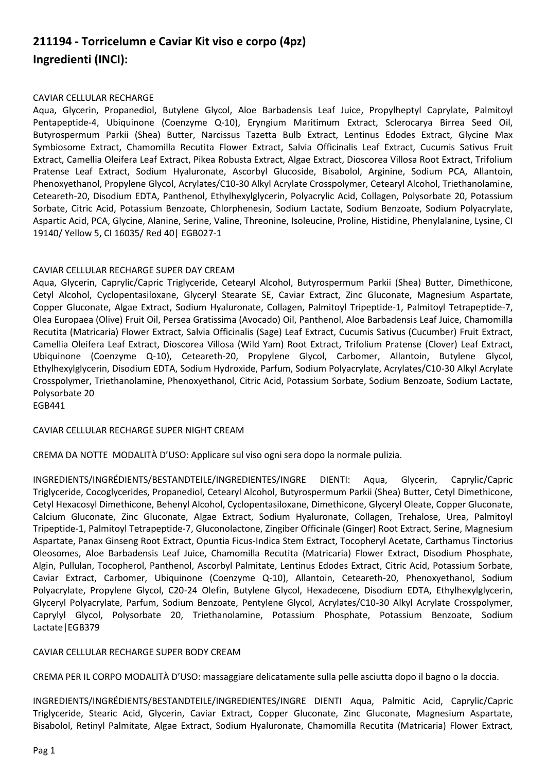## **211194 - Torricelumn e Caviar Kit viso e corpo (4pz) Ingredienti (INCI):**

## CAVIAR CELLULAR RECHARGE

Aqua, Glycerin, Propanediol, Butylene Glycol, Aloe Barbadensis Leaf Juice, Propylheptyl Caprylate, Palmitoyl Pentapeptide-4, Ubiquinone (Coenzyme Q-10), Eryngium Maritimum Extract, Sclerocarya Birrea Seed Oil, Butyrospermum Parkii (Shea) Butter, Narcissus Tazetta Bulb Extract, Lentinus Edodes Extract, Glycine Max Symbiosome Extract, Chamomilla Recutita Flower Extract, Salvia Officinalis Leaf Extract, Cucumis Sativus Fruit Extract, Camellia Oleifera Leaf Extract, Pikea Robusta Extract, Algae Extract, Dioscorea Villosa Root Extract, Trifolium Pratense Leaf Extract, Sodium Hyaluronate, Ascorbyl Glucoside, Bisabolol, Arginine, Sodium PCA, Allantoin, Phenoxyethanol, Propylene Glycol, Acrylates/C10-30 Alkyl Acrylate Crosspolymer, Cetearyl Alcohol, Triethanolamine, Ceteareth-20, Disodium EDTA, Panthenol, Ethylhexylglycerin, Polyacrylic Acid, Collagen, Polysorbate 20, Potassium Sorbate, Citric Acid, Potassium Benzoate, Chlorphenesin, Sodium Lactate, Sodium Benzoate, Sodium Polyacrylate, Aspartic Acid, PCA, Glycine, Alanine, Serine, Valine, Threonine, Isoleucine, Proline, Histidine, Phenylalanine, Lysine, CI 19140/ Yellow 5, CI 16035/ Red 40| EGB027-1

## CAVIAR CELLULAR RECHARGE SUPER DAY CREAM

Aqua, Glycerin, Caprylic/Capric Triglyceride, Cetearyl Alcohol, Butyrospermum Parkii (Shea) Butter, Dimethicone, Cetyl Alcohol, Cyclopentasiloxane, Glyceryl Stearate SE, Caviar Extract, Zinc Gluconate, Magnesium Aspartate, Copper Gluconate, Algae Extract, Sodium Hyaluronate, Collagen, Palmitoyl Tripeptide-1, Palmitoyl Tetrapeptide-7, Olea Europaea (Olive) Fruit Oil, Persea Gratissima (Avocado) Oil, Panthenol, Aloe Barbadensis Leaf Juice, Chamomilla Recutita (Matricaria) Flower Extract, Salvia Officinalis (Sage) Leaf Extract, Cucumis Sativus (Cucumber) Fruit Extract, Camellia Oleifera Leaf Extract, Dioscorea Villosa (Wild Yam) Root Extract, Trifolium Pratense (Clover) Leaf Extract, Ubiquinone (Coenzyme Q-10), Ceteareth-20, Propylene Glycol, Carbomer, Allantoin, Butylene Glycol, Ethylhexylglycerin, Disodium EDTA, Sodium Hydroxide, Parfum, Sodium Polyacrylate, Acrylates/C10-30 Alkyl Acrylate Crosspolymer, Triethanolamine, Phenoxyethanol, Citric Acid, Potassium Sorbate, Sodium Benzoate, Sodium Lactate, Polysorbate 20 EGB441

CAVIAR CELLULAR RECHARGE SUPER NIGHT CREAM

CREMA DA NOTTE MODALITÀ D'USO: Applicare sul viso ogni sera dopo la normale pulizia.

INGREDIENTS/INGRÉDIENTS/BESTANDTEILE/INGREDIENTES/INGRE DIENTI: Aqua, Glycerin, Caprylic/Capric Triglyceride, Cocoglycerides, Propanediol, Cetearyl Alcohol, Butyrospermum Parkii (Shea) Butter, Cetyl Dimethicone, Cetyl Hexacosyl Dimethicone, Behenyl Alcohol, Cyclopentasiloxane, Dimethicone, Glyceryl Oleate, Copper Gluconate, Calcium Gluconate, Zinc Gluconate, Algae Extract, Sodium Hyaluronate, Collagen, Trehalose, Urea, Palmitoyl Tripeptide-1, Palmitoyl Tetrapeptide-7, Gluconolactone, Zingiber Officinale (Ginger) Root Extract, Serine, Magnesium Aspartate, Panax Ginseng Root Extract, Opuntia Ficus-Indica Stem Extract, Tocopheryl Acetate, Carthamus Tinctorius Oleosomes, Aloe Barbadensis Leaf Juice, Chamomilla Recutita (Matricaria) Flower Extract, Disodium Phosphate, Algin, Pullulan, Tocopherol, Panthenol, Ascorbyl Palmitate, Lentinus Edodes Extract, Citric Acid, Potassium Sorbate, Caviar Extract, Carbomer, Ubiquinone (Coenzyme Q-10), Allantoin, Ceteareth-20, Phenoxyethanol, Sodium Polyacrylate, Propylene Glycol, C20-24 Olefin, Butylene Glycol, Hexadecene, Disodium EDTA, Ethylhexylglycerin, Glyceryl Polyacrylate, Parfum, Sodium Benzoate, Pentylene Glycol, Acrylates/C10-30 Alkyl Acrylate Crosspolymer, Caprylyl Glycol, Polysorbate 20, Triethanolamine, Potassium Phosphate, Potassium Benzoate, Sodium Lactate|EGB379

CAVIAR CELLULAR RECHARGE SUPER BODY CREAM

CREMA PER IL CORPO MODALITÀ D'USO: massaggiare delicatamente sulla pelle asciutta dopo il bagno o la doccia.

INGREDIENTS/INGRÉDIENTS/BESTANDTEILE/INGREDIENTES/INGRE DIENTI Aqua, Palmitic Acid, Caprylic/Capric Triglyceride, Stearic Acid, Glycerin, Caviar Extract, Copper Gluconate, Zinc Gluconate, Magnesium Aspartate, Bisabolol, Retinyl Palmitate, Algae Extract, Sodium Hyaluronate, Chamomilla Recutita (Matricaria) Flower Extract,